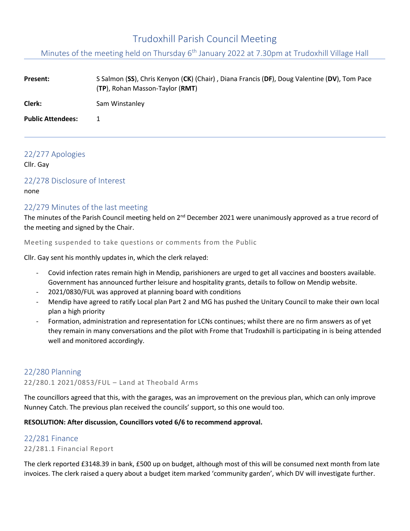# Trudoxhill Parish Council Meeting

Minutes of the meeting held on Thursday 6<sup>th</sup> January 2022 at 7.30pm at Trudoxhill Village Hall

| <b>Present:</b>          | S Salmon (SS), Chris Kenyon (CK) (Chair), Diana Francis (DF), Doug Valentine (DV), Tom Pace<br>(TP), Rohan Masson-Taylor (RMT) |
|--------------------------|--------------------------------------------------------------------------------------------------------------------------------|
| Clerk:                   | Sam Winstanley                                                                                                                 |
| <b>Public Attendees:</b> |                                                                                                                                |

### 22/277 Apologies

Cllr. Gay

### 22/278 Disclosure of Interest

none

### 22/279 Minutes of the last meeting

The minutes of the Parish Council meeting held on 2<sup>nd</sup> December 2021 were unanimously approved as a true record of the meeting and signed by the Chair.

Meeting suspended to take questions or comments from the Public

Cllr. Gay sent his monthly updates in, which the clerk relayed:

- Covid infection rates remain high in Mendip, parishioners are urged to get all vaccines and boosters available. Government has announced further leisure and hospitality grants, details to follow on Mendip website.
- 2021/0830/FUL was approved at planning board with conditions
- Mendip have agreed to ratify Local plan Part 2 and MG has pushed the Unitary Council to make their own local plan a high priority
- Formation, administration and representation for LCNs continues; whilst there are no firm answers as of yet they remain in many conversations and the pilot with Frome that Trudoxhill is participating in is being attended well and monitored accordingly.

### 22/280 Planning

22/280.1 2021/0853/FUL – Land at Theobald Arms

The councillors agreed that this, with the garages, was an improvement on the previous plan, which can only improve Nunney Catch. The previous plan received the councils' support, so this one would too.

#### **RESOLUTION: After discussion, Councillors voted 6/6 to recommend approval.**

### 22/281 Finance

#### 22/281.1 Financial Report

The clerk reported £3148.39 in bank, £500 up on budget, although most of this will be consumed next month from late invoices. The clerk raised a query about a budget item marked 'community garden', which DV will investigate further.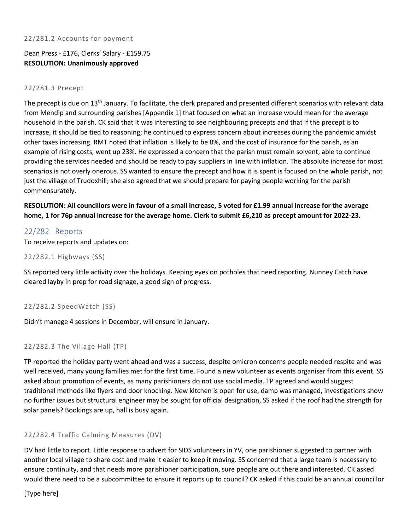#### 22/281.2 Accounts for payment

Dean Press - £176, Clerks' Salary - £159.75 **RESOLUTION: Unanimously approved**

#### 22/281.3 Precept

The precept is due on 13<sup>th</sup> January. To facilitate, the clerk prepared and presented different scenarios with relevant data from Mendip and surrounding parishes [Appendix 1] that focused on what an increase would mean for the average household in the parish. CK said that it was interesting to see neighbouring precepts and that if the precept is to increase, it should be tied to reasoning; he continued to express concern about increases during the pandemic amidst other taxes increasing. RMT noted that inflation is likely to be 8%, and the cost of insurance for the parish, as an example of rising costs, went up 23%. He expressed a concern that the parish must remain solvent, able to continue providing the services needed and should be ready to pay suppliers in line with inflation. The absolute increase for most scenarios is not overly onerous. SS wanted to ensure the precept and how it is spent is focused on the whole parish, not just the village of Trudoxhill; she also agreed that we should prepare for paying people working for the parish commensurately.

**RESOLUTION: All councillors were in favour of a small increase, 5 voted for £1.99 annual increase for the average home, 1 for 76p annual increase for the average home. Clerk to submit £6,210 as precept amount for 2022-23.**

#### 22/282 Reports

To receive reports and updates on:

22/282.1 Highways (SS)

SS reported very little activity over the holidays. Keeping eyes on potholes that need reporting. Nunney Catch have cleared layby in prep for road signage, a good sign of progress.

#### 22/282.2 SpeedWatch (SS)

Didn't manage 4 sessions in December, will ensure in January.

#### 22/282.3 The Village Hall (TP)

TP reported the holiday party went ahead and was a success, despite omicron concerns people needed respite and was well received, many young families met for the first time. Found a new volunteer as events organiser from this event. SS asked about promotion of events, as many parishioners do not use social media. TP agreed and would suggest traditional methods like flyers and door knocking. New kitchen is open for use, damp was managed, investigations show no further issues but structural engineer may be sought for official designation, SS asked if the roof had the strength for solar panels? Bookings are up, hall is busy again.

#### 22/282.4 Traffic Calming Measures (DV)

DV had little to report. Little response to advert for SIDS volunteers in YV, one parishioner suggested to partner with another local village to share cost and make it easier to keep it moving. SS concerned that a large team is necessary to ensure continuity, and that needs more parishioner participation, sure people are out there and interested. CK asked would there need to be a subcommittee to ensure it reports up to council? CK asked if this could be an annual councillor

[Type here]